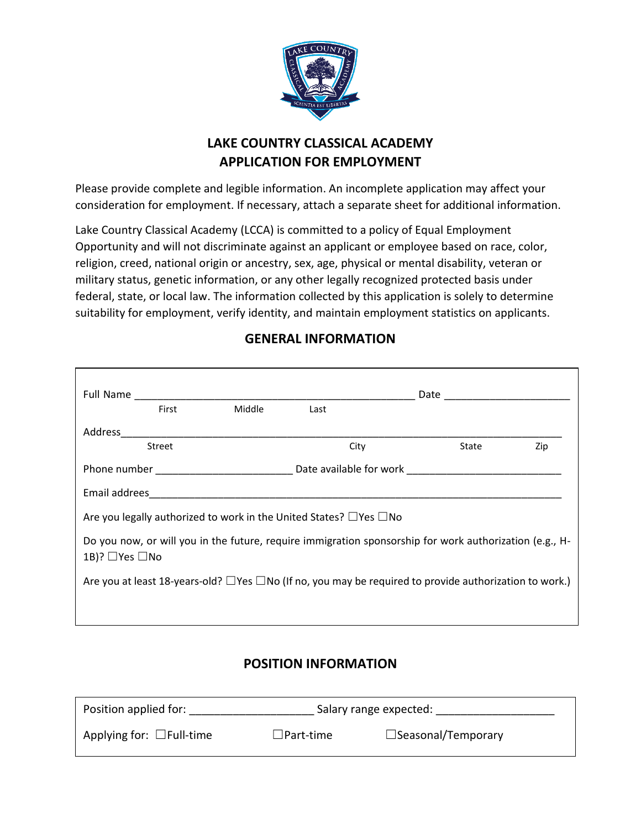

# **LAKE COUNTRY CLASSICAL ACADEMY APPLICATION FOR EMPLOYMENT**

Please provide complete and legible information. An incomplete application may affect your consideration for employment. If necessary, attach a separate sheet for additional information.

Lake Country Classical Academy (LCCA) is committed to a policy of Equal Employment Opportunity and will not discriminate against an applicant or employee based on race, color, religion, creed, national origin or ancestry, sex, age, physical or mental disability, veteran or military status, genetic information, or any other legally recognized protected basis under federal, state, or local law. The information collected by this application is solely to determine suitability for employment, verify identity, and maintain employment statistics on applicants.

|                                                                                                                                      | First  | Middle | Last |       |     |
|--------------------------------------------------------------------------------------------------------------------------------------|--------|--------|------|-------|-----|
|                                                                                                                                      |        |        |      |       |     |
|                                                                                                                                      | Street |        | City | State | Zip |
|                                                                                                                                      |        |        |      |       |     |
|                                                                                                                                      |        |        |      |       |     |
| Are you legally authorized to work in the United States? $\Box$ Yes $\Box$ No                                                        |        |        |      |       |     |
| Do you now, or will you in the future, require immigration sponsorship for work authorization (e.g., H-<br>1B)? $\Box$ Yes $\Box$ No |        |        |      |       |     |
| Are you at least 18-years-old? $\Box$ Yes $\Box$ No (If no, you may be required to provide authorization to work.)                   |        |        |      |       |     |
|                                                                                                                                      |        |        |      |       |     |

## **GENERAL INFORMATION**

# **POSITION INFORMATION**

| Position applied for:          | Salary range expected: |                              |
|--------------------------------|------------------------|------------------------------|
| Applying for: $\Box$ Full-time | $\Box$ Part-time       | $\square$ Seasonal/Temporary |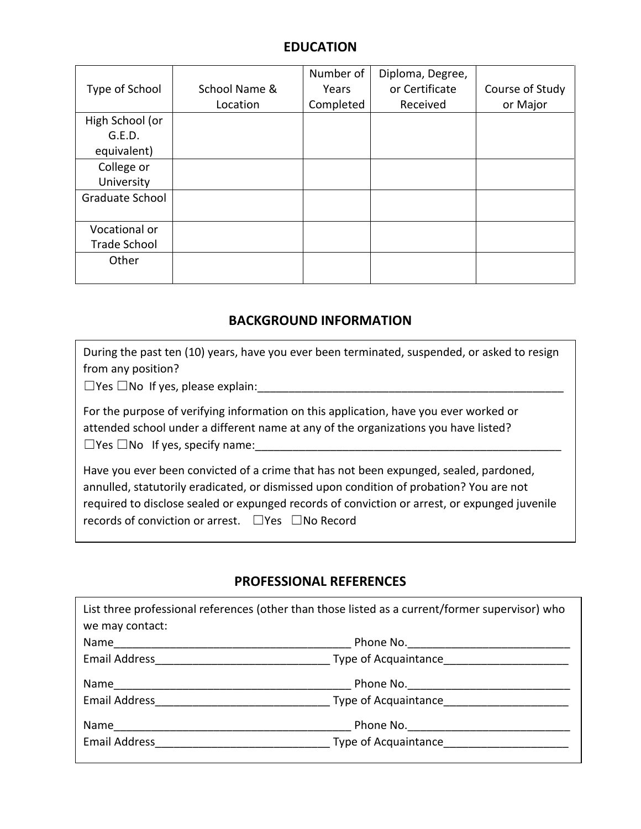### **EDUCATION**

|                        |               | Number of | Diploma, Degree, |                 |
|------------------------|---------------|-----------|------------------|-----------------|
| Type of School         | School Name & | Years     | or Certificate   | Course of Study |
|                        | Location      | Completed | Received         | or Major        |
| High School (or        |               |           |                  |                 |
| G.E.D.                 |               |           |                  |                 |
| equivalent)            |               |           |                  |                 |
| College or             |               |           |                  |                 |
| University             |               |           |                  |                 |
| <b>Graduate School</b> |               |           |                  |                 |
|                        |               |           |                  |                 |
| Vocational or          |               |           |                  |                 |
| <b>Trade School</b>    |               |           |                  |                 |
| Other                  |               |           |                  |                 |
|                        |               |           |                  |                 |

#### **BACKGROUND INFORMATION**

| During the past ten (10) years, have you ever been terminated, suspended, or asked to resign |  |
|----------------------------------------------------------------------------------------------|--|
| from any position?                                                                           |  |

 $\Box$  Yes  $\Box$  No If yes, please explain:

For the purpose of verifying information on this application, have you ever worked or attended school under a different name at any of the organizations you have listed?  $\Box$  Yes  $\Box$  No If yes, specify name:

Have you ever been convicted of a crime that has not been expunged, sealed, pardoned, annulled, statutorily eradicated, or dismissed upon condition of probation? You are not required to disclose sealed or expunged records of conviction or arrest, or expunged juvenile records of conviction or arrest. □Yes □No Record

#### **PROFESSIONAL REFERENCES**

| we may contact:      | List three professional references (other than those listed as a current/former supervisor) who                                                                                                            |
|----------------------|------------------------------------------------------------------------------------------------------------------------------------------------------------------------------------------------------------|
|                      |                                                                                                                                                                                                            |
|                      | Email Address <b>Email Address Email Address Email Address Email Address Email Address Email Address Email Address Email Address Email Address Email Address Email Address Email Address Email Address</b> |
|                      |                                                                                                                                                                                                            |
| <b>Email Address</b> | Type of Acquaintance                                                                                                                                                                                       |
| Name                 |                                                                                                                                                                                                            |
| <b>Email Address</b> | <b>Example 3 Type of Acquaintance</b>                                                                                                                                                                      |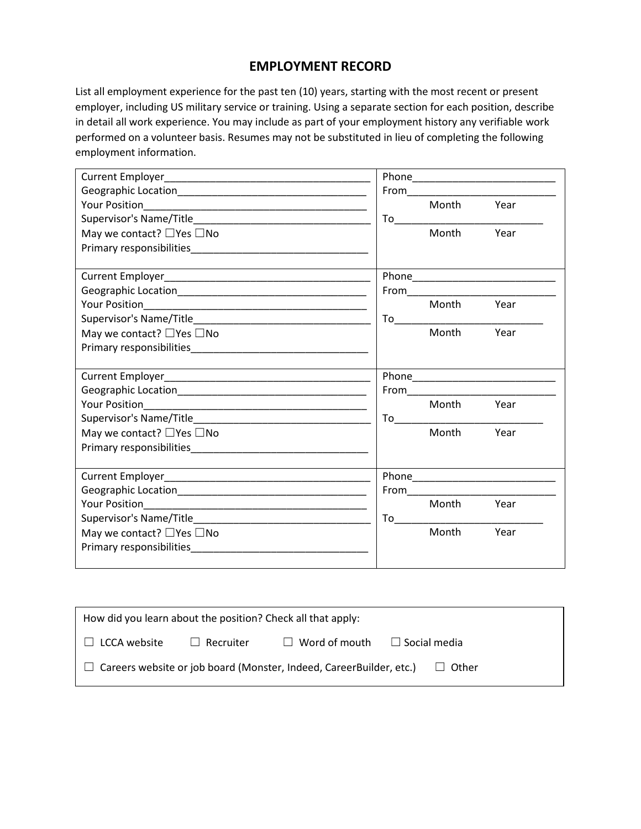#### **EMPLOYMENT RECORD**

List all employment experience for the past ten (10) years, starting with the most recent or present employer, including US military service or training. Using a separate section for each position, describe in detail all work experience. You may include as part of your employment history any verifiable work performed on a volunteer basis. Resumes may not be substituted in lieu of completing the following employment information.

|                            |            | From_______________________________ |
|----------------------------|------------|-------------------------------------|
|                            | Month      | Year                                |
|                            |            |                                     |
| May we contact? □ Yes □ No | Month      | Year                                |
|                            |            |                                     |
|                            |            |                                     |
|                            |            |                                     |
|                            |            |                                     |
|                            | Month Year |                                     |
|                            |            |                                     |
| May we contact? □ Yes □ No | Month      | Year                                |
|                            |            |                                     |
|                            |            |                                     |
|                            |            |                                     |
|                            |            |                                     |
|                            |            |                                     |
|                            | Month Year |                                     |
|                            |            |                                     |
| May we contact? □ Yes □ No | Month Year |                                     |
|                            |            |                                     |
|                            |            |                                     |
|                            |            |                                     |
|                            |            |                                     |
|                            | Month Year |                                     |
|                            |            |                                     |
| May we contact? □ Yes □ No | Month      | Year                                |
|                            |            |                                     |

| How did you learn about the position? Check all that apply:                           |                  |                                          |  |  |
|---------------------------------------------------------------------------------------|------------------|------------------------------------------|--|--|
| $\Box$ LCCA website                                                                   | $\Box$ Recruiter | $\Box$ Word of mouth $\Box$ Social media |  |  |
| $\Box$ Careers website or job board (Monster, Indeed, CareerBuilder, etc.)<br>□ Other |                  |                                          |  |  |